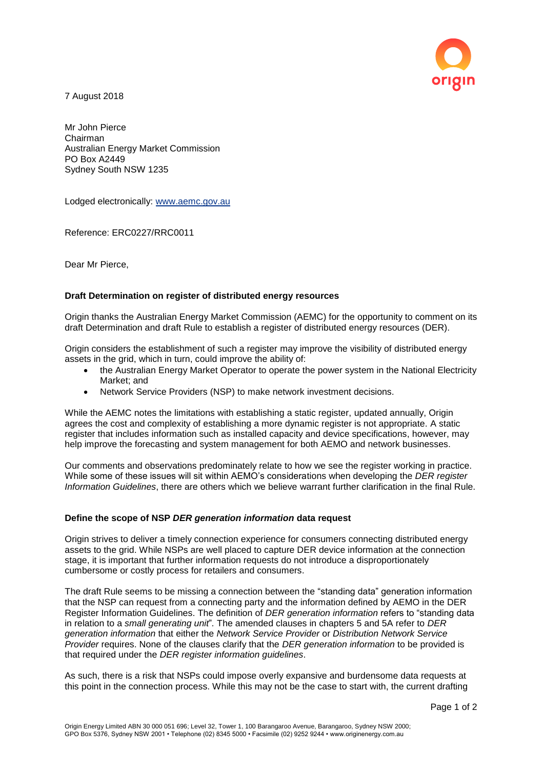

7 August 2018

Mr John Pierce Chairman Australian Energy Market Commission PO Box A2449 Sydney South NSW 1235

Lodged electronically: www.aemc.gov.au

Reference: ERC0227/RRC0011

Dear Mr Pierce,

## **Draft Determination on register of distributed energy resources**

Origin thanks the Australian Energy Market Commission (AEMC) for the opportunity to comment on its draft Determination and draft Rule to establish a register of distributed energy resources (DER).

Origin considers the establishment of such a register may improve the visibility of distributed energy assets in the grid, which in turn, could improve the ability of:

- the Australian Energy Market Operator to operate the power system in the National Electricity Market; and
- Network Service Providers (NSP) to make network investment decisions.

While the AEMC notes the limitations with establishing a static register, updated annually, Origin agrees the cost and complexity of establishing a more dynamic register is not appropriate. A static register that includes information such as installed capacity and device specifications, however, may help improve the forecasting and system management for both AEMO and network businesses.

Our comments and observations predominately relate to how we see the register working in practice. While some of these issues will sit within AEMO's considerations when developing the *DER register Information Guidelines*, there are others which we believe warrant further clarification in the final Rule.

## **Define the scope of NSP** *DER generation information* **data request**

Origin strives to deliver a timely connection experience for consumers connecting distributed energy assets to the grid. While NSPs are well placed to capture DER device information at the connection stage, it is important that further information requests do not introduce a disproportionately cumbersome or costly process for retailers and consumers.

The draft Rule seems to be missing a connection between the "standing data" generation information that the NSP can request from a connecting party and the information defined by AEMO in the DER Register Information Guidelines. The definition of *DER generation information* refers to "standing data in relation to a *small generating unit*"*.* The amended clauses in chapters 5 and 5A refer to *DER generation information* that either the *Network Service Provider* or *Distribution Network Service Provider* requires. None of the clauses clarify that the *DER generation information* to be provided is that required under the *DER register information guidelines*.

As such, there is a risk that NSPs could impose overly expansive and burdensome data requests at this point in the connection process. While this may not be the case to start with, the current drafting